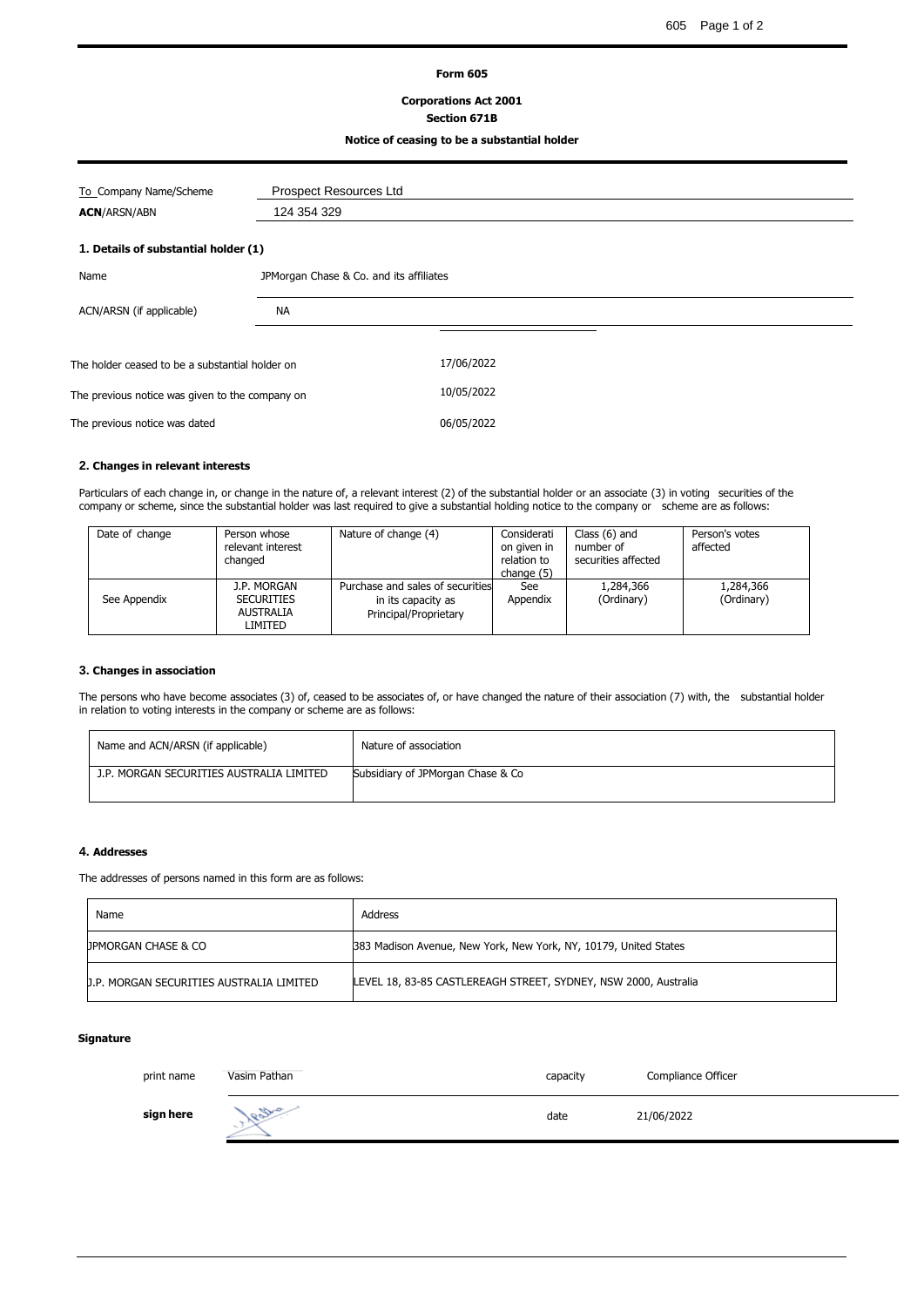#### **Form 605**

# **Corporations Act 2001**

# **Section 671B**

## **Notice of ceasing to be a substantial holder**

| To Company Name/Scheme                          | <b>Prospect Resources Ltd</b> |                                         |  |  |
|-------------------------------------------------|-------------------------------|-----------------------------------------|--|--|
| <b>ACN/ARSN/ABN</b>                             | 124 354 329                   |                                         |  |  |
| 1. Details of substantial holder (1)            |                               |                                         |  |  |
| Name                                            |                               | JPMorgan Chase & Co. and its affiliates |  |  |
| ACN/ARSN (if applicable)                        | NA                            |                                         |  |  |
| The holder ceased to be a substantial holder on |                               | 17/06/2022                              |  |  |
| The previous notice was given to the company on |                               | 10/05/2022                              |  |  |
| The previous notice was dated                   |                               | 06/05/2022                              |  |  |
|                                                 |                               |                                         |  |  |

## **2. Changes in relevant interests**

Particulars of each change in, or change in the nature of, a relevant interest (2) of the substantial holder or an associate (3) in voting securities of the company or scheme, since the substantial holder was last required to give a substantial holding notice to the company or scheme are as follows:

| Date of change | Person whose<br>relevant interest<br>changed                    | Nature of change (4)                                                            | Considerati<br>on given in<br>relation to<br>change (5) | Class $(6)$ and<br>number of<br>securities affected | Person's votes<br>affected |
|----------------|-----------------------------------------------------------------|---------------------------------------------------------------------------------|---------------------------------------------------------|-----------------------------------------------------|----------------------------|
| See Appendix   | J.P. MORGAN<br><b>SECURITIES</b><br><b>AUSTRALIA</b><br>LIMITED | Purchase and sales of securities<br>in its capacity as<br>Principal/Proprietary | See<br>Appendix                                         | 1,284,366<br>(Ordinary)                             | 1,284,366<br>(Ordinary)    |

## **3. Changes in association**

The persons who have become associates (3) of, ceased to be associates of, or have changed the nature of their association (7) with, the substantial holder in relation to voting interests in the company or scheme are as follows:

| Name and ACN/ARSN (if applicable)        | Nature of association             |
|------------------------------------------|-----------------------------------|
| J.P. MORGAN SECURITIES AUSTRALIA LIMITED | Subsidiary of JPMorgan Chase & Co |

### **4. Addresses**

The addresses of persons named in this form are as follows:

| Name                                     | Address                                                          |
|------------------------------------------|------------------------------------------------------------------|
| <b>UPMORGAN CHASE &amp; CO</b>           | 383 Madison Avenue, New York, New York, NY, 10179, United States |
| J.P. MORGAN SECURITIES AUSTRALIA LIMITED | LEVEL 18, 83-85 CASTLEREAGH STREET, SYDNEY, NSW 2000, Australia  |

## **Signature**

| print name | Vasim Pathan | capacity | Compliance Officer |
|------------|--------------|----------|--------------------|
| sign here  | 1800         | date     | 21/06/2022         |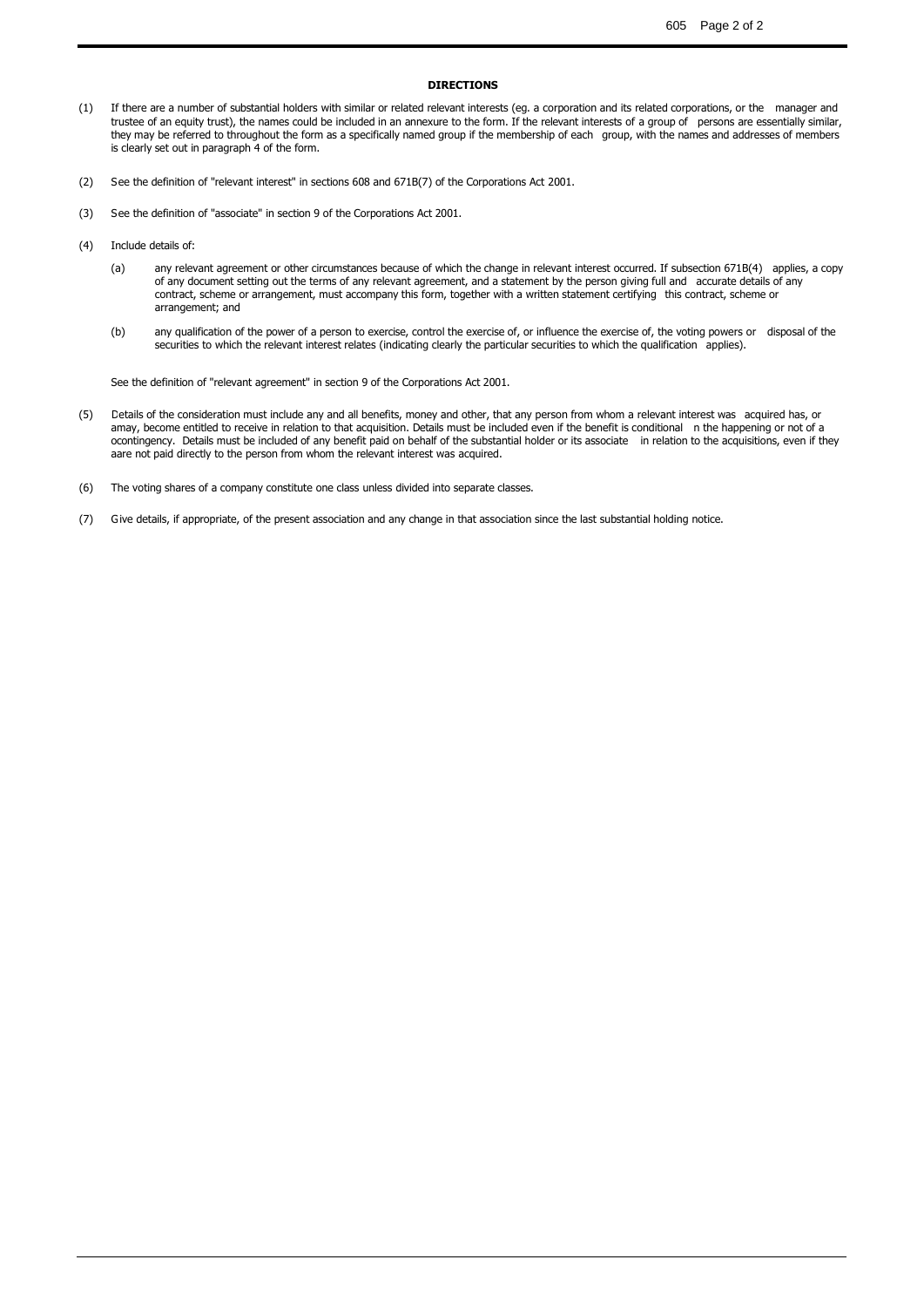### **DIRECTIONS**

- (1) If there are a number of substantial holders with similar or related relevant interests (eg. a corporation and its related corporations, or the manager and trustee of an equity trust), the names could be included in an annexure to the form. If the relevant interests of a group of persons are essentially similar, they may be referred to throughout the form as a specifically named group if the membership of each group, with the names and addresses of members is clearly set out in paragraph 4 of the form.
- (2) See the definition of "relevant interest" in sections 608 and 671B(7) of the Corporations Act 2001.
- (3) See the definition of "associate" in section 9 of the Corporations Act 2001.
- (4) Include details of:
	- (a) any relevant agreement or other circumstances because of which the change in relevant interest occurred. If subsection 671B(4) applies, a copy of any document setting out the terms of any relevant agreement, and a statement by the person giving full and accurate details of any contract, scheme or arrangement, must accompany this form, together with a written statement certifying this contract, scheme or arrangement; and
	- (b) any qualification of the power of a person to exercise, control the exercise of, or influence the exercise of, the voting powers or disposal of the securities to which the relevant interest relates (indicating clearly the particular securities to which the qualification applies).

See the definition of "relevant agreement" in section 9 of the Corporations Act 2001.

- $(5)$ amay, become entitled to receive in relation to that acquisition. Details must be included even if the benefit is conditional  $\:$  n the happening or not of a ocontingency. Details must be included of any benefit paid on behalf of the substantial holder or its associate  $\:$  in relation to the acquisitions, even if they a are not paid directly to the person from whom the relevant interest was acquired. Details of the consideration must include any and all benefits, money and other, that any person from whom a relevant interest was acquired has, or
- (6) The voting shares of a company constitute one class unless divided into separate classes.
- (7) Give details, if appropriate, of the present association and any change in that association since the last substantial holding notice.